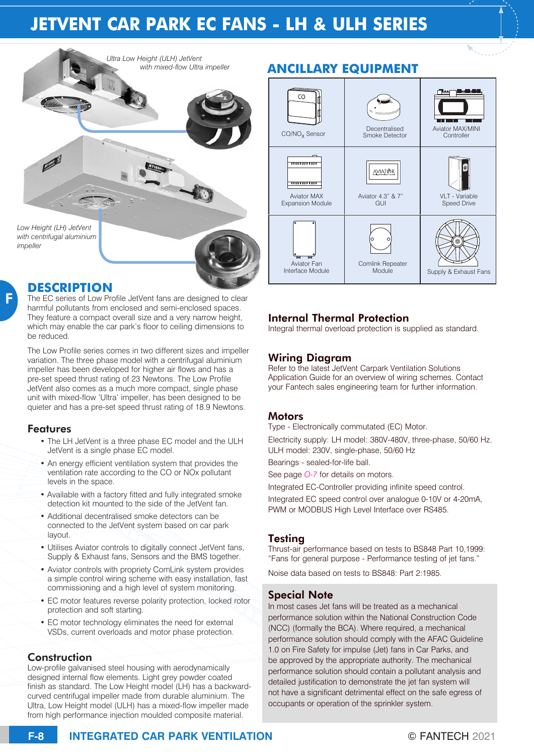# **JETVENT CAR PARK EC FANS - LH & ULH SERIES**



## **DESCRIPTION**

F

The EC series of Low Profile JetVent fans are designed to clear harmful pollutants from enclosed and semi-enclosed spaces. They feature a compact overall size and a very narrow height, which may enable the car park's floor to ceiling dimensions to be reduced.

The Low Profile series comes in two different sizes and impeller variation. The three phase model with a centrifugal aluminium impeller has been developed for higher air flows and has a pre-set speed thrust rating of 23 Newtons. The Low Profile JetVent also comes as a much more compact, single phase unit with mixed-flow 'Ultra' impeller, has been designed to be quieter and has a pre-set speed thrust rating of 18.9 Newtons.

#### Features

- The LH JetVent is a three phase EC model and the ULH JetVent is a single phase EC model.
- An energy efficient ventilation system that provides the ventilation rate according to the CO or NOx pollutant levels in the space.
- Available with a factory fitted and fully integrated smoke detection kit mounted to the side of the JetVent fan.
- Additional decentralised smoke detectors can be connected to the JetVent system based on car park layout.
- Utilises Aviator controls to digitally connect JetVent fans, Supply & Exhaust fans, Sensors and the BMS together.
- Aviator controls with propriety ComLink system provides a simple control wiring scheme with easy installation, fast commissioning and a high level of system monitoring.
- EC motor features reverse polarity protection, locked rotor protection and soft starting.
- EC motor technology eliminates the need for external VSDs, current overloads and motor phase protection.

#### **Construction**

Low-profile galvanised steel housing with aerodynamically designed internal flow elements. Light grey powder coated finish as standard. The Low Height model (LH) has a backwardcurved centrifugal impeller made from durable aluminium. The Ultra, Low Height model (ULH) has a mixed-flow impeller made from high performance injection moulded composite material.



## Internal Thermal Protection

Integral thermal overload protection is supplied as standard.

## Wiring Diagram

Refer to the latest JetVent Carpark Ventilation Solutions Application Guide for an overview of wiring schemes. Contact your Fantech sales engineering team for further information.

#### **Motors**

Type - Electronically commutated (EC) Motor.

Electricity supply: LH model: 380V-480V, three-phase, 50/60 Hz. ULH model: 230V, single-phase, 50/60 Hz

Bearings - sealed-for-life ball.

See page *O-7* for details on motors.

Integrated EC-Controller providing infinite speed control. Integrated EC speed control over analogue 0-10V or 4-20mA, PWM or MODBUS High Level Interface over RS485.

#### Testing

Thrust-air performance based on tests to BS848 Part 10,1999: "Fans for general purpose - Performance testing of jet fans."

Noise data based on tests to BS848: Part 2:1985.

### Special Note

In most cases Jet fans will be treated as a mechanical performance solution within the National Construction Code (NCC) (formally the BCA). Where required, a mechanical performance solution should comply with the AFAC Guideline 1.0 on Fire Safety for impulse (Jet) fans in Car Parks, and be approved by the appropriate authority. The mechanical performance solution should contain a pollutant analysis and detailed justification to demonstrate the jet fan system will not have a significant detrimental effect on the safe egress of occupants or operation of the sprinkler system.

## **F-**